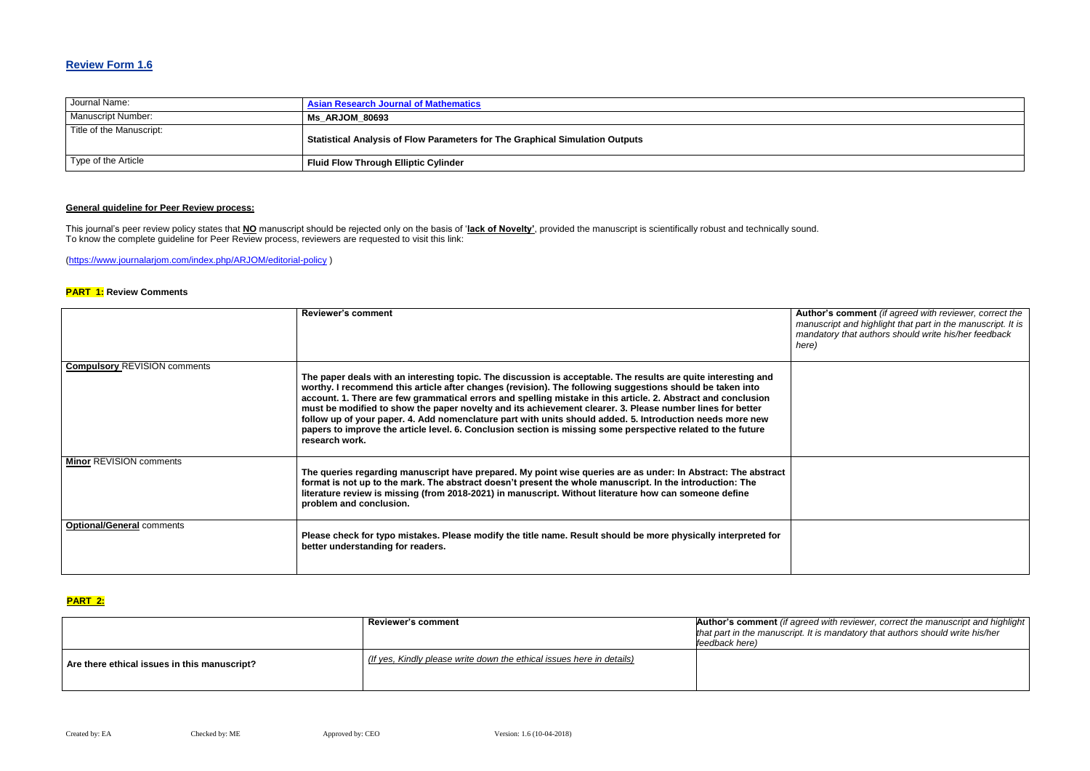### **Review Form 1.6**

| Journal Name:             | <b>Asian Research Journal of Mathematics</b>                                        |
|---------------------------|-------------------------------------------------------------------------------------|
| <b>Manuscript Number:</b> | <b>Ms ARJOM 80693</b>                                                               |
| Title of the Manuscript:  | <b>Statistical Analysis of Flow Parameters for The Graphical Simulation Outputs</b> |
| Type of the Article       | <b>Fluid Flow Through Elliptic Cylinder</b>                                         |

### **General guideline for Peer Review process:**

**R**'s comment *(if agreed with reviewer, correct the manuscript and highlight that part in the manuscript. It is mandatory that authors should write his/her feedback* 

*Reviewer, correct the manuscript and highlight mandatory that authors should write his/her* 

This journal's peer review policy states that **NO** manuscript should be rejected only on the basis of '**lack of Novelty'**, provided the manuscript is scientifically robust and technically sound. To know the complete guideline for Peer Review process, reviewers are requested to visit this link:

[\(https://www.journalarjom.com/index.php/ARJOM/editorial-policy](https://www.journalarjom.com/index.php/ARJOM/editorial-policy) )

#### **PART 1: Review Comments**

|                                     | <b>Reviewer's comment</b>                                                                                                                                                                                                                                                                                                                                                                                                                                                                                                                                                                                                                                                                                | <b>Author</b><br>manus<br>manda<br>here) |
|-------------------------------------|----------------------------------------------------------------------------------------------------------------------------------------------------------------------------------------------------------------------------------------------------------------------------------------------------------------------------------------------------------------------------------------------------------------------------------------------------------------------------------------------------------------------------------------------------------------------------------------------------------------------------------------------------------------------------------------------------------|------------------------------------------|
| <b>Compulsory REVISION comments</b> | The paper deals with an interesting topic. The discussion is acceptable. The results are quite interesting and<br>worthy. I recommend this article after changes (revision). The following suggestions should be taken into<br>account. 1. There are few grammatical errors and spelling mistake in this article. 2. Abstract and conclusion<br>must be modified to show the paper novelty and its achievement clearer. 3. Please number lines for better<br>follow up of your paper. 4. Add nomenclature part with units should added. 5. Introduction needs more new<br>papers to improve the article level. 6. Conclusion section is missing some perspective related to the future<br>research work. |                                          |
| <b>Minor REVISION comments</b>      | The queries regarding manuscript have prepared. My point wise queries are as under: In Abstract: The abstract<br>format is not up to the mark. The abstract doesn't present the whole manuscript. In the introduction: The<br>literature review is missing (from 2018-2021) in manuscript. Without literature how can someone define<br>problem and conclusion.                                                                                                                                                                                                                                                                                                                                          |                                          |
| <b>Optional/General comments</b>    | Please check for typo mistakes. Please modify the title name. Result should be more physically interpreted for<br>better understanding for readers.                                                                                                                                                                                                                                                                                                                                                                                                                                                                                                                                                      |                                          |

# **PART 2:**

|                                              | <b>Reviewer's comment</b>                                             | Author's comment (if agreed \<br>that part in the manuscript. It is<br>lfeedback here) |
|----------------------------------------------|-----------------------------------------------------------------------|----------------------------------------------------------------------------------------|
| Are there ethical issues in this manuscript? | (If yes, Kindly please write down the ethical issues here in details) |                                                                                        |